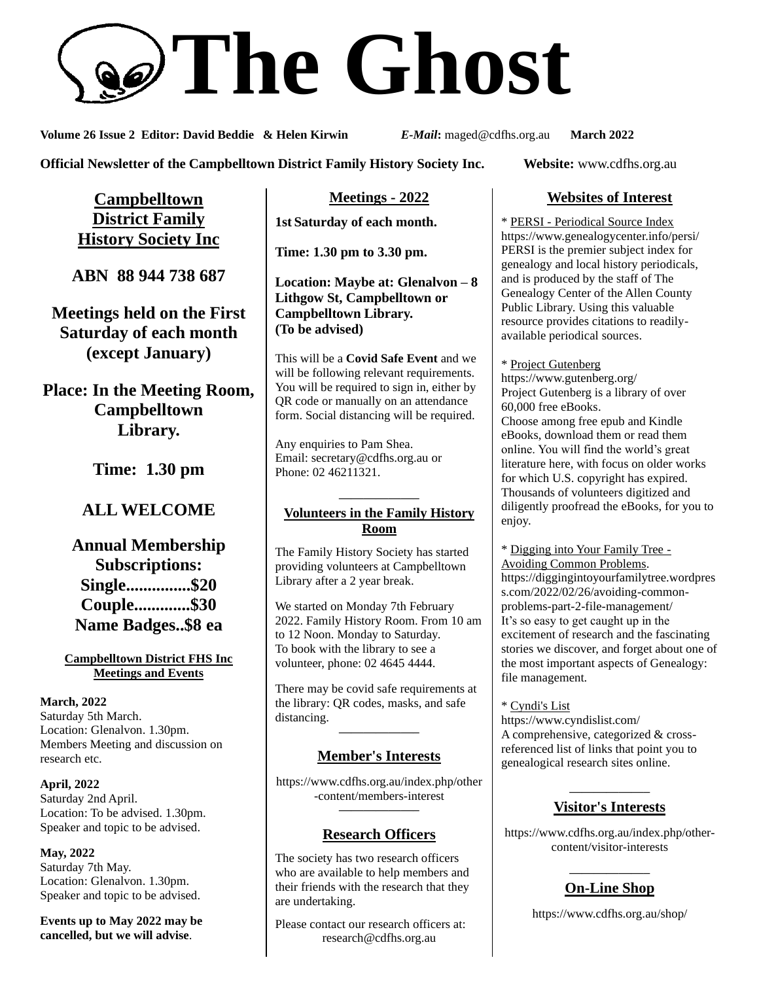

**Volume 26 Issue 2 Editor: David Beddie & Helen Kirwin** *E-Mail***:** maged@cdfhs.org.au **March 2022**

**Official Newsletter of the Campbelltown District Family History Society Inc. Website:** www.cdfhs.org.au

**Campbelltown District Family History Society Inc**

**ABN 88 944 738 687**

**Meetings held on the First Saturday of each month (except January)**

**Place: In the Meeting Room, Campbelltown Library.**

**Time: 1.30 pm**

# **ALL WELCOME**

**Annual Membership Subscriptions: Single...............\$20 Couple.............\$30 Name Badges..\$8 ea**

#### **Campbelltown District FHS Inc Meetings and Events**

**March, 2022** Saturday 5th March. Location: Glenalvon. 1.30pm. Members Meeting and discussion on research etc.

**April, 2022** Saturday 2nd April. Location: To be advised. 1.30pm. Speaker and topic to be advised.

**May, 2022** Saturday 7th May. Location: Glenalvon. 1.30pm. Speaker and topic to be advised.

**Events up to May 2022 may be cancelled, but we will advise**.

**Meetings - 2022**

**1st Saturday of each month.**

**Time: 1.30 pm to 3.30 pm.**

**Location: Maybe at: Glenalvon – 8 Lithgow St, Campbelltown or Campbelltown Library. (To be advised)**

This will be a **Covid Safe Event** and we will be following relevant requirements. You will be required to sign in, either by QR code or manually on an attendance form. Social distancing will be required.

Any enquiries to Pam Shea. Email: [secretary@cdfhs.org.au](mailto:secretary@cdfhs.org.au) or Phone: 02 46211321.

#### **——————– Volunteers in the Family History Room**

The Family History Society has started providing volunteers at Campbelltown Library after a 2 year break.

We started on Monday 7th February 2022. Family History Room. From 10 am to 12 Noon. Monday to Saturday. To book with the library to see a volunteer, phone: 02 4645 4444.

There may be covid safe requirements at the library: QR codes, masks, and safe distancing.

## **——————– Member's Interests**

https://www.cdfhs.org.au/index.php/other -content/members-interest **——————–**

## **Research Officers**

The society has two research officers who are available to help members and their friends with the research that they are undertaking.

Please contact our research officers at: research@cdfhs.org.au

## **Websites of Interest**

\* PERSI - Periodical Source Index https://www.genealogycenter.info/persi/ PERSI is the premier subject index for genealogy and local history periodicals, and is produced by the staff of The Genealogy Center of the Allen County Public Library. Using this valuable resource provides citations to readilyavailable periodical sources.

\* Project Gutenberg

https://www.gutenberg.org/ Project Gutenberg is a library of over 60,000 free eBooks. Choose among free epub and Kindle eBooks, download them or read them online. You will find the world's great literature here, with focus on older works for which U.S. copyright has expired. Thousands of volunteers digitized and diligently proofread the eBooks, for you to enjoy.

\* Digging into Your Family Tree - Avoiding Common Problems. https://diggingintoyourfamilytree.wordpres s.com/2022/02/26/avoiding-commonproblems-part-2-file-management/ It's so easy to get caught up in the excitement of research and the fascinating stories we discover, and forget about one of the most important aspects of Genealogy: file management.

## \* Cyndi's List

https://www.cyndislist.com/ A comprehensive, categorized & crossreferenced list of links that point you to genealogical research sites online.

#### **——————– Visitor's Interests**

https://www.cdfhs.org.au/index.php/othercontent/visitor-interests

#### **——————– On-Line Shop**

https://www.cdfhs.org.au/shop/